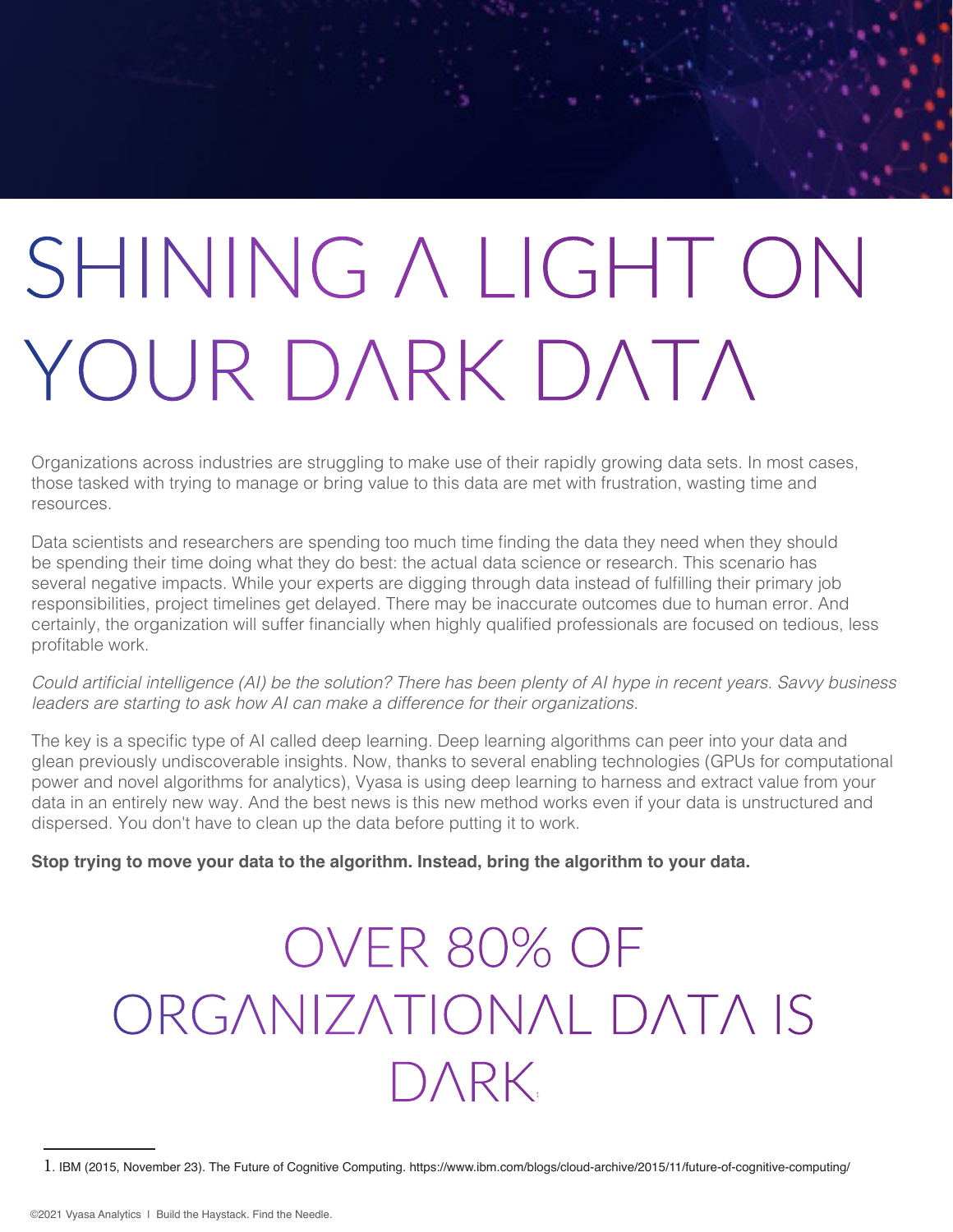# SHINING A LIGHT ON YOUR DARK DATA

Organizations across industries are struggling to make use of their rapidly growing data sets. In most cases, those tasked with trying to manage or bring value to this data are met with frustration, wasting time and resources.

Data scientists and researchers are spending too much time finding the data they need when they should be spending their time doing what they do best: the actual data science or research. This scenario has several negative impacts. While your experts are digging through data instead of fulfilling their primary job responsibilities, project timelines get delayed. There may be inaccurate outcomes due to human error. And certainly, the organization will suffer financially when highly qualified professionals are focused on tedious, less profitable work.

Could artificial intelligence (AI) be the solution? There has been plenty of AI hype in recent years. Savvy business leaders are starting to ask how AI can make a difference for their organizations.

The key is a specific type of AI called deep learning. Deep learning algorithms can peer into your data and glean previously undiscoverable insights. Now, thanks to several enabling technologies (GPUs for computational power and novel algorithms for analytics), Vyasa is using deep learning to harness and extract value from your data in an entirely new way. And the best news is this new method works even if your data is unstructured and dispersed. You don't have to clean up the data before putting it to work.

**Stop trying to move your data to the algorithm. Instead, bring the algorithm to your data.** 

# OVER 80% OF ORGANIZATIONAL DATA IS DARK.

<sup>1</sup>. IBM (2015, November 23). The Future of Cognitive Computing. https://www.ibm.com/blogs/cloud-archive/2015/11/future-of-cognitive-computing/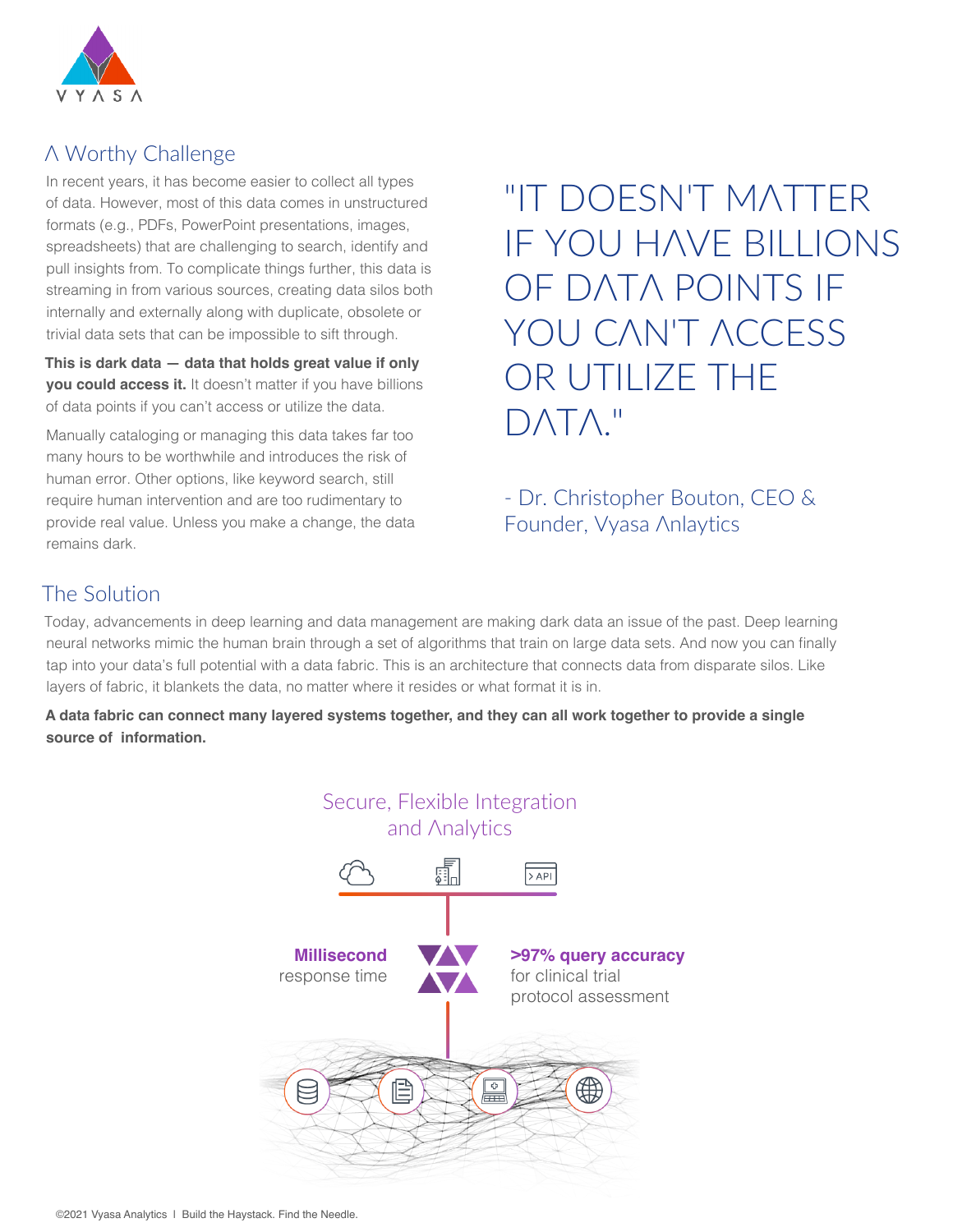

# A Worthy Challenge

In recent years, it has become easier to collect all types of data. However, most of this data comes in unstructured formats (e.g., PDFs, PowerPoint presentations, images, spreadsheets) that are challenging to search, identify and pull insights from. To complicate things further, this data is streaming in from various sources, creating data silos both internally and externally along with duplicate, obsolete or trivial data sets that can be impossible to sift through.

**This is dark data — data that holds great value if only you could access it.** It doesn't matter if you have billions of data points if you can't access or utilize the data.

Manually cataloging or managing this data takes far too many hours to be worthwhile and introduces the risk of human error. Other options, like keyword search, still require human intervention and are too rudimentary to provide real value. Unless you make a change, the data remains dark.

"IT DOESN'T MATTER IF YOU HAVE BILLIONS OF DATA POINTS IF YOU CAN'T ACCESS OR UTILIZE THE DATA."

- Dr. Christopher Bouton, CEO & Founder, Vyasa Anlaytics

## The Solution

Today, advancements in deep learning and data management are making dark data an issue of the past. Deep learning neural networks mimic the human brain through a set of algorithms that train on large data sets. And now you can finally tap into your data's full potential with a data fabric. This is an architecture that connects data from disparate silos. Like layers of fabric, it blankets the data, no matter where it resides or what format it is in.

**A data fabric can connect many layered systems together, and they can all work together to provide a single source of information.**

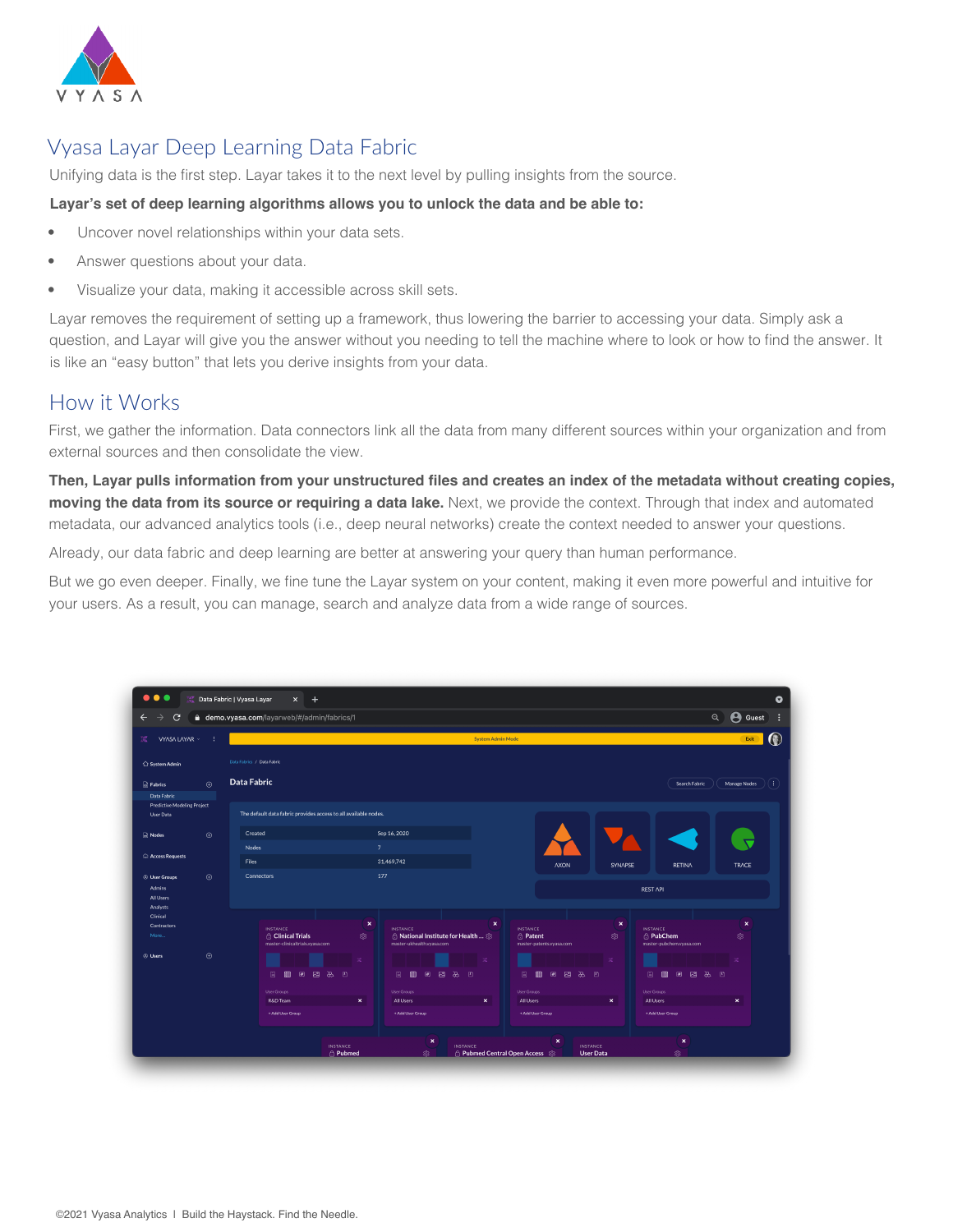

# Vyasa Layar Deep Learning Data Fabric

Unifying data is the first step. Layar takes it to the next level by pulling insights from the source.

#### **Layar's set of deep learning algorithms allows you to unlock the data and be able to:**

- Uncover novel relationships within your data sets.
- Answer questions about your data.
- Visualize your data, making it accessible across skill sets.

Layar removes the requirement of setting up a framework, thus lowering the barrier to accessing your data. Simply ask a question, and Layar will give you the answer without you needing to tell the machine where to look or how to find the answer. It is like an "easy button" that lets you derive insights from your data.

### How it Works

First, we gather the information. Data connectors link all the data from many different sources within your organization and from external sources and then consolidate the view.

**Then, Layar pulls information from your unstructured files and creates an index of the metadata without creating copies, moving the data from its source or requiring a data lake.** Next, we provide the context. Through that index and automated metadata, our advanced analytics tools (i.e., deep neural networks) create the context needed to answer your questions.

Already, our data fabric and deep learning are better at answering your query than human performance.

But we go even deeper. Finally, we fine tune the Layar system on your content, making it even more powerful and intuitive for your users. As a result, you can manage, search and analyze data from a wide range of sources.